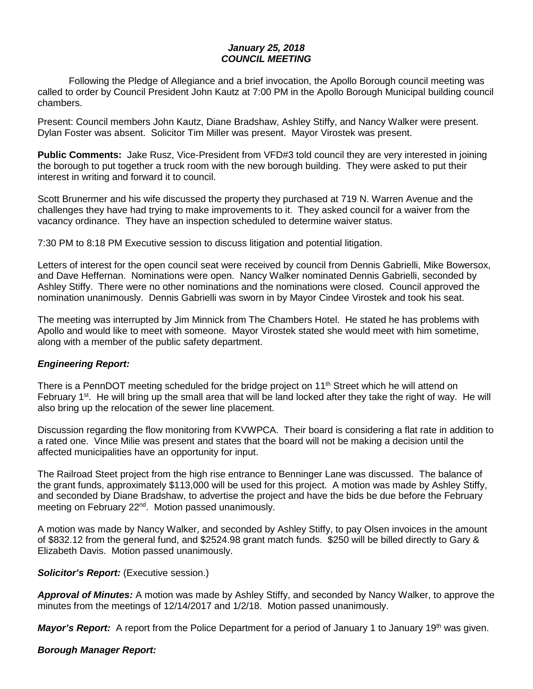## *January 25, 2018 COUNCIL MEETING*

Following the Pledge of Allegiance and a brief invocation, the Apollo Borough council meeting was called to order by Council President John Kautz at 7:00 PM in the Apollo Borough Municipal building council chambers.

Present: Council members John Kautz, Diane Bradshaw, Ashley Stiffy, and Nancy Walker were present. Dylan Foster was absent. Solicitor Tim Miller was present. Mayor Virostek was present.

**Public Comments:** Jake Rusz, Vice-President from VFD#3 told council they are very interested in joining the borough to put together a truck room with the new borough building. They were asked to put their interest in writing and forward it to council.

Scott Brunermer and his wife discussed the property they purchased at 719 N. Warren Avenue and the challenges they have had trying to make improvements to it. They asked council for a waiver from the vacancy ordinance. They have an inspection scheduled to determine waiver status.

7:30 PM to 8:18 PM Executive session to discuss litigation and potential litigation.

Letters of interest for the open council seat were received by council from Dennis Gabrielli, Mike Bowersox, and Dave Heffernan. Nominations were open. Nancy Walker nominated Dennis Gabrielli, seconded by Ashley Stiffy. There were no other nominations and the nominations were closed. Council approved the nomination unanimously. Dennis Gabrielli was sworn in by Mayor Cindee Virostek and took his seat.

The meeting was interrupted by Jim Minnick from The Chambers Hotel. He stated he has problems with Apollo and would like to meet with someone. Mayor Virostek stated she would meet with him sometime, along with a member of the public safety department.

## *Engineering Report:*

There is a PennDOT meeting scheduled for the bridge project on 11<sup>th</sup> Street which he will attend on February 1<sup>st</sup>. He will bring up the small area that will be land locked after they take the right of way. He will also bring up the relocation of the sewer line placement.

Discussion regarding the flow monitoring from KVWPCA. Their board is considering a flat rate in addition to a rated one. Vince Milie was present and states that the board will not be making a decision until the affected municipalities have an opportunity for input.

The Railroad Steet project from the high rise entrance to Benninger Lane was discussed. The balance of the grant funds, approximately \$113,000 will be used for this project. A motion was made by Ashley Stiffy, and seconded by Diane Bradshaw, to advertise the project and have the bids be due before the February meeting on February 22nd. Motion passed unanimously.

A motion was made by Nancy Walker, and seconded by Ashley Stiffy, to pay Olsen invoices in the amount of \$832.12 from the general fund, and \$2524.98 grant match funds. \$250 will be billed directly to Gary & Elizabeth Davis. Motion passed unanimously.

## *Solicitor's Report:* (Executive session.)

*Approval of Minutes:* A motion was made by Ashley Stiffy, and seconded by Nancy Walker, to approve the minutes from the meetings of 12/14/2017 and 1/2/18. Motion passed unanimously.

*Mayor's Report:* A report from the Police Department for a period of January 1 to January 19<sup>th</sup> was given.

## *Borough Manager Report:*